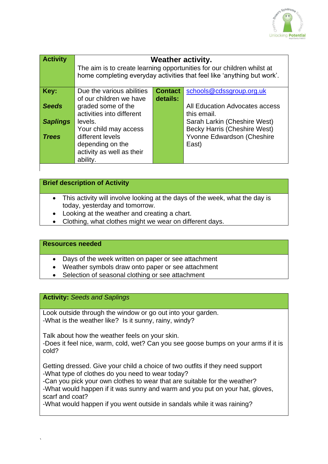

| <b>Activity</b> | <b>Weather activity.</b><br>The aim is to create learning opportunities for our children whilst at<br>home completing everyday activities that feel like 'anything but work'. |                |                                                                            |
|-----------------|-------------------------------------------------------------------------------------------------------------------------------------------------------------------------------|----------------|----------------------------------------------------------------------------|
| Key:            | Due the various abilities                                                                                                                                                     | <b>Contact</b> | schools@cdssgroup.org.uk                                                   |
| <b>Seeds</b>    | of our children we have<br>graded some of the<br>activities into different                                                                                                    | details:       | All Education Advocates access<br>this email.                              |
| <b>Saplings</b> | levels.                                                                                                                                                                       |                | Sarah Larkin (Cheshire West)                                               |
| <b>Trees</b>    | Your child may access<br>different levels<br>depending on the<br>activity as well as their<br>ability.                                                                        |                | <b>Becky Harris (Cheshire West)</b><br>Yvonne Edwardson (Cheshire<br>East) |

## **Brief description of Activity**

- This activity will involve looking at the days of the week, what the day is today, yesterday and tomorrow.
- Looking at the weather and creating a chart.
- Clothing, what clothes might we wear on different days.

### **Resources needed**

- Days of the week written on paper or see attachment
- Weather symbols draw onto paper or see attachment
- Selection of seasonal clothing or see attachment

#### **Activity:** *Seeds and Saplings*

Look outside through the window or go out into your garden. -What is the weather like? Is it sunny, rainy, windy?

Talk about how the weather feels on your skin. -Does it feel nice, warm, cold, wet? Can you see goose bumps on your arms if it is cold?

Getting dressed. Give your child a choice of two outfits if they need support -What type of clothes do you need to wear today?

-Can you pick your own clothes to wear that are suitable for the weather? -What would happen if it was sunny and warm and you put on your hat, gloves, scarf and coat?

-What would happen if you went outside in sandals while it was raining?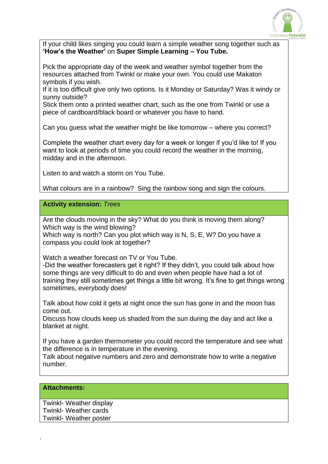

If your child likes singing you could learn a simple weather song together such as **'How's the Weather'** on **Super Simple Learning – You Tube.**

Pick the appropriate day of the week and weather symbol together from the resources attached from Twinkl or make your own. You could use Makaton symbols if you wish.

If it is too difficult give only two options. Is it Monday or Saturday? Was it windy or sunny outside?

Stick them onto a printed weather chart, such as the one from Twinkl or use a piece of cardboard/black board or whatever you have to hand.

Can you guess what the weather might be like tomorrow – where you correct?

Complete the weather chart every day for a week or longer if you'd like to! If you want to look at periods of time you could record the weather in the morning, midday and in the afternoon.

Listen to and watch a storm on You Tube.

What colours are in a rainbow? Sing the rainbow song and sign the colours.

**Activity extension:** *Trees*

Are the clouds moving in the sky? What do you think is moving them along? Which way is the wind blowing?

Which way is north? Can you plot which way is N, S, E, W? Do you have a compass you could look at together?

Watch a weather forecast on TV or You Tube.

-Did the weather forecasters get it right? If they didn't, you could talk about how some things are very difficult to do and even when people have had a lot of training they still sometimes get things a little bit wrong. It's fine to get things wrong sometimes, everybody does!

Talk about how cold it gets at night once the sun has gone in and the moon has come out.

Discuss how clouds keep us shaded from the sun during the day and act like a blanket at night.

If you have a garden thermometer you could record the temperature and see what the difference is in temperature in the evening.

Talk about negative numbers and zero and demonstrate how to write a negative number.

#### **Attachments:**

`

Twinkl- Weather display Twinkl- Weather cards Twinkl- Weather poster